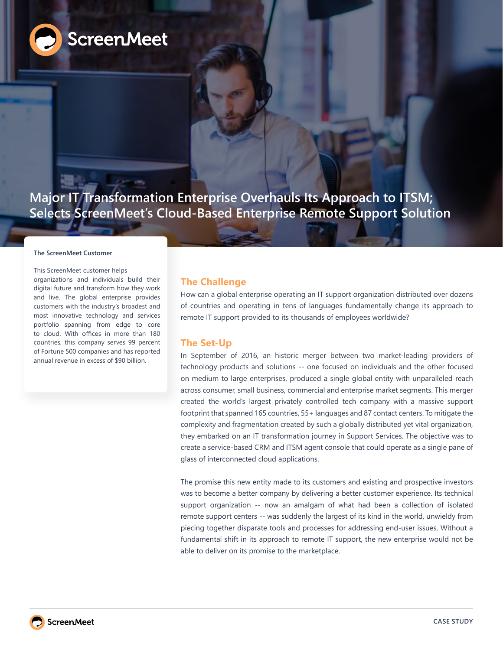

**Major IT Transformation Enterprise Overhauls Its Approach to ITSM; Selects ScreenMeet's Cloud-Based Enterprise Remote Support Solution** 

#### **The ScreenMeet Customer**

This ScreenMeet customer helps organizations and individuals build their digital future and transform how they work and live. The global enterprise provides customers with the industry's broadest and most innovative technology and services portfolio spanning from edge to core to cloud. With offices in more than 180 countries, this company serves 99 percent of Fortune 500 companies and has reported annual revenue in excess of \$90 billion.

## **The Challenge**

How can a global enterprise operating an IT support organization distributed over dozens of countries and operating in tens of languages fundamentally change its approach to remote IT support provided to its thousands of employees worldwide?

### **The Set-Up**

In September of 2016, an historic merger between two market-leading providers of technology products and solutions -- one focused on individuals and the other focused on medium to large enterprises, produced a single global entity with unparalleled reach across consumer, small business, commercial and enterprise market segments. This merger created the world's largest privately controlled tech company with a massive support footprint that spanned 165 countries, 55+ languages and 87 contact centers. To mitigate the complexity and fragmentation created by such a globally distributed yet vital organization, they embarked on an IT transformation journey in Support Services. The objective was to create a service-based CRM and ITSM agent console that could operate as a single pane of glass of interconnected cloud applications.

The promise this new entity made to its customers and existing and prospective investors was to become a better company by delivering a better customer experience. Its technical support organization -- now an amalgam of what had been a collection of isolated remote support centers -- was suddenly the largest of its kind in the world, unwieldy from piecing together disparate tools and processes for addressing end-user issues. Without a fundamental shift in its approach to remote IT support, the new enterprise would not be able to deliver on its promise to the marketplace.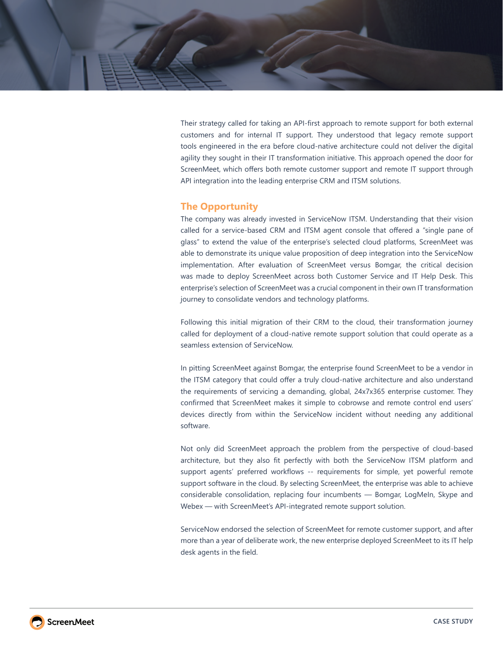Their strategy called for taking an API-first approach to remote support for both external customers and for internal IT support. They understood that legacy remote support tools engineered in the era before cloud-native architecture could not deliver the digital agility they sought in their IT transformation initiative. This approach opened the door for ScreenMeet, which offers both remote customer support and remote IT support through API integration into the leading enterprise CRM and ITSM solutions.

# **The Opportunity**

The company was already invested in ServiceNow ITSM. Understanding that their vision called for a service-based CRM and ITSM agent console that offered a "single pane of glass" to extend the value of the enterprise's selected cloud platforms, ScreenMeet was able to demonstrate its unique value proposition of deep integration into the ServiceNow implementation. After evaluation of ScreenMeet versus Bomgar, the critical decision was made to deploy ScreenMeet across both Customer Service and IT Help Desk. This enterprise's selection of ScreenMeet was a crucial component in their own IT transformation journey to consolidate vendors and technology platforms.

Following this initial migration of their CRM to the cloud, their transformation journey called for deployment of a cloud-native remote support solution that could operate as a seamless extension of ServiceNow.

In pitting ScreenMeet against Bomgar, the enterprise found ScreenMeet to be a vendor in the ITSM category that could offer a truly cloud-native architecture and also understand the requirements of servicing a demanding, global, 24x7x365 enterprise customer. They confirmed that ScreenMeet makes it simple to cobrowse and remote control end users' devices directly from within the ServiceNow incident without needing any additional software.

Not only did ScreenMeet approach the problem from the perspective of cloud-based architecture, but they also fit perfectly with both the ServiceNow ITSM platform and support agents' preferred workflows -- requirements for simple, yet powerful remote support software in the cloud. By selecting ScreenMeet, the enterprise was able to achieve considerable consolidation, replacing four incumbents — Bomgar, LogMeIn, Skype and Webex — with ScreenMeet's API-integrated remote support solution.

ServiceNow endorsed the selection of ScreenMeet for remote customer support, and after more than a year of deliberate work, the new enterprise deployed ScreenMeet to its IT help desk agents in the field.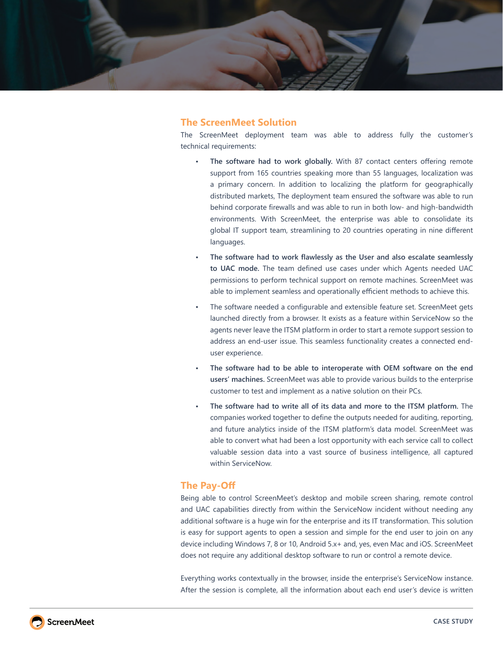

# **The ScreenMeet Solution**

The ScreenMeet deployment team was able to address fully the customer's technical requirements:

- **• The software had to work globally.** With 87 contact centers offering remote support from 165 countries speaking more than 55 languages, localization was a primary concern. In addition to localizing the platform for geographically distributed markets, The deployment team ensured the software was able to run behind corporate firewalls and was able to run in both low- and high-bandwidth environments. With ScreenMeet, the enterprise was able to consolidate its global IT support team, streamlining to 20 countries operating in nine different languages.
- **• The software had to work flawlessly as the User and also escalate seamlessly to UAC mode.** The team defined use cases under which Agents needed UAC permissions to perform technical support on remote machines. ScreenMeet was able to implement seamless and operationally efficient methods to achieve this.
- The software needed a configurable and extensible feature set. ScreenMeet gets launched directly from a browser. It exists as a feature within ServiceNow so the agents never leave the ITSM platform in order to start a remote support session to address an end-user issue. This seamless functionality creates a connected enduser experience.
- **• The software had to be able to interoperate with OEM software on the end users' machines.** ScreenMeet was able to provide various builds to the enterprise customer to test and implement as a native solution on their PCs.
- **• The software had to write all of its data and more to the ITSM platform.** The companies worked together to define the outputs needed for auditing, reporting, and future analytics inside of the ITSM platform's data model. ScreenMeet was able to convert what had been a lost opportunity with each service call to collect valuable session data into a vast source of business intelligence, all captured within ServiceNow.

# **The Pay-Off**

Being able to control ScreenMeet's desktop and mobile screen sharing, remote control and UAC capabilities directly from within the ServiceNow incident without needing any additional software is a huge win for the enterprise and its IT transformation. This solution is easy for support agents to open a session and simple for the end user to join on any device including Windows 7, 8 or 10, Android 5.x+ and, yes, even Mac and iOS. ScreenMeet does not require any additional desktop software to run or control a remote device.

Everything works contextually in the browser, inside the enterprise's ServiceNow instance. After the session is complete, all the information about each end user's device is written